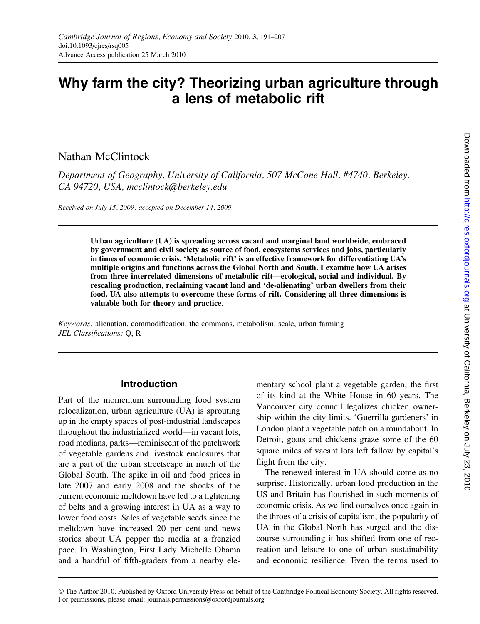# Why farm the city? Theorizing urban agriculture through a lens of metabolic rift

## Nathan McClintock

Department of Geography, University of California, 507 McCone Hall, #4740, Berkeley, CA 94720, USA, mcclintock@berkeley.edu

Received on July 15, 2009; accepted on December 14, 2009

Urban agriculture (UA) is spreading across vacant and marginal land worldwide, embraced by government and civil society as source of food, ecosystems services and jobs, particularly in times of economic crisis. 'Metabolic rift' is an effective framework for differentiating UA's multiple origins and functions across the Global North and South. I examine how UA arises from three interrelated dimensions of metabolic rift—ecological, social and individual. By rescaling production, reclaiming vacant land and 'de-alienating' urban dwellers from their food, UA also attempts to overcome these forms of rift. Considering all three dimensions is valuable both for theory and practice.

Keywords: alienation, commodification, the commons, metabolism, scale, urban farming JEL Classifications: Q, R

## **Introduction**

Part of the momentum surrounding food system relocalization, urban agriculture (UA) is sprouting up in the empty spaces of post-industrial landscapes throughout the industrialized world—in vacant lots, road medians, parks—reminiscent of the patchwork of vegetable gardens and livestock enclosures that are a part of the urban streetscape in much of the Global South. The spike in oil and food prices in late 2007 and early 2008 and the shocks of the current economic meltdown have led to a tightening of belts and a growing interest in UA as a way to lower food costs. Sales of vegetable seeds since the meltdown have increased 20 per cent and news stories about UA pepper the media at a frenzied pace. In Washington, First Lady Michelle Obama and a handful of fifth-graders from a nearby elementary school plant a vegetable garden, the first of its kind at the White House in 60 years. The Vancouver city council legalizes chicken ownership within the city limits. 'Guerrilla gardeners' in London plant a vegetable patch on a roundabout. In Detroit, goats and chickens graze some of the 60 square miles of vacant lots left fallow by capital's flight from the city.

The renewed interest in UA should come as no surprise. Historically, urban food production in the US and Britain has flourished in such moments of economic crisis. As we find ourselves once again in the throes of a crisis of capitalism, the popularity of UA in the Global North has surged and the discourse surrounding it has shifted from one of recreation and leisure to one of urban sustainability and economic resilience. Even the terms used to

The Author 2010. Published by Oxford University Press on behalf of the Cambridge Political Economy Society. All rights reserved. For permissions, please email: journals.permissions@oxfordjournals.org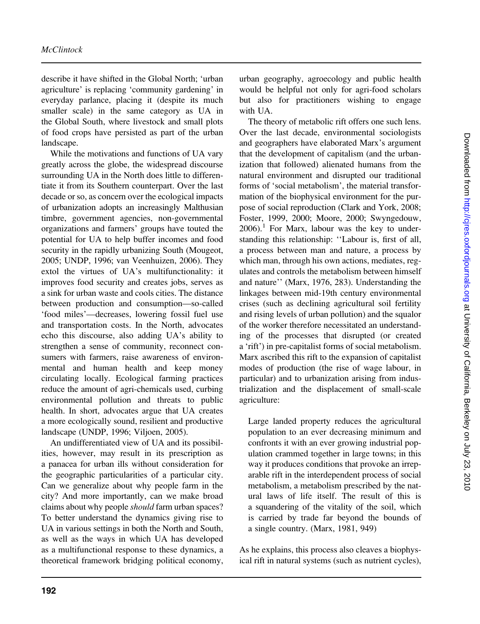describe it have shifted in the Global North; 'urban agriculture' is replacing 'community gardening' in everyday parlance, placing it (despite its much smaller scale) in the same category as UA in the Global South, where livestock and small plots of food crops have persisted as part of the urban landscape.

While the motivations and functions of UA vary greatly across the globe, the widespread discourse surrounding UA in the North does little to differentiate it from its Southern counterpart. Over the last decade or so, as concern over the ecological impacts of urbanization adopts an increasingly Malthusian timbre, government agencies, non-governmental organizations and farmers' groups have touted the potential for UA to help buffer incomes and food security in the rapidly urbanizing South (Mougeot, 2005; UNDP, 1996; van Veenhuizen, 2006). They extol the virtues of UA's multifunctionality: it improves food security and creates jobs, serves as a sink for urban waste and cools cities. The distance between production and consumption—so-called 'food miles'—decreases, lowering fossil fuel use and transportation costs. In the North, advocates echo this discourse, also adding UA's ability to strengthen a sense of community, reconnect consumers with farmers, raise awareness of environmental and human health and keep money circulating locally. Ecological farming practices reduce the amount of agri-chemicals used, curbing environmental pollution and threats to public health. In short, advocates argue that UA creates a more ecologically sound, resilient and productive landscape (UNDP, 1996; Viljoen, 2005).

An undifferentiated view of UA and its possibilities, however, may result in its prescription as a panacea for urban ills without consideration for the geographic particularities of a particular city. Can we generalize about why people farm in the city? And more importantly, can we make broad claims about why people should farm urban spaces? To better understand the dynamics giving rise to UA in various settings in both the North and South, as well as the ways in which UA has developed as a multifunctional response to these dynamics, a theoretical framework bridging political economy, urban geography, agroecology and public health would be helpful not only for agri-food scholars but also for practitioners wishing to engage with UA.

The theory of metabolic rift offers one such lens. Over the last decade, environmental sociologists and geographers have elaborated Marx's argument that the development of capitalism (and the urbanization that followed) alienated humans from the natural environment and disrupted our traditional forms of 'social metabolism', the material transformation of the biophysical environment for the purpose of social reproduction (Clark and York, 2008; Foster, 1999, 2000; Moore, 2000; Swyngedouw,  $2006$ .<sup>1</sup> For Marx, labour was the key to understanding this relationship: ''Labour is, first of all, a process between man and nature, a process by which man, through his own actions, mediates, regulates and controls the metabolism between himself and nature'' (Marx, 1976, 283). Understanding the linkages between mid-19th century environmental crises (such as declining agricultural soil fertility and rising levels of urban pollution) and the squalor of the worker therefore necessitated an understanding of the processes that disrupted (or created a 'rift') in pre-capitalist forms of social metabolism. Marx ascribed this rift to the expansion of capitalist modes of production (the rise of wage labour, in particular) and to urbanization arising from industrialization and the displacement of small-scale agriculture:

Large landed property reduces the agricultural population to an ever decreasing minimum and confronts it with an ever growing industrial population crammed together in large towns; in this way it produces conditions that provoke an irreparable rift in the interdependent process of social metabolism, a metabolism prescribed by the natural laws of life itself. The result of this is a squandering of the vitality of the soil, which is carried by trade far beyond the bounds of a single country. (Marx, 1981, 949)

As he explains, this process also cleaves a biophysical rift in natural systems (such as nutrient cycles),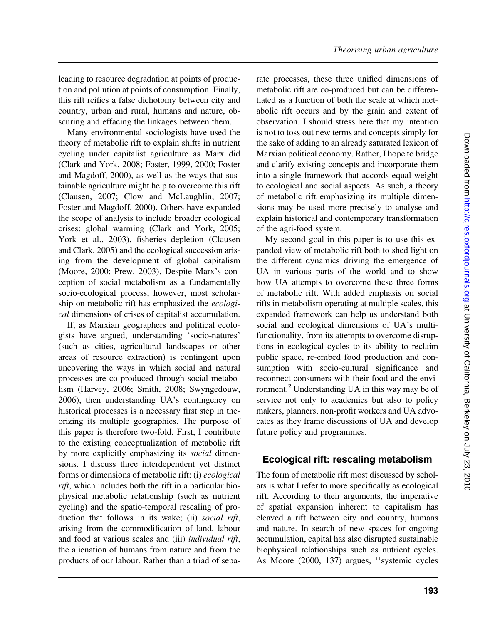Theorizing urban agriculture

leading to resource degradation at points of production and pollution at points of consumption. Finally, this rift reifies a false dichotomy between city and country, urban and rural, humans and nature, obscuring and effacing the linkages between them.

Many environmental sociologists have used the theory of metabolic rift to explain shifts in nutrient cycling under capitalist agriculture as Marx did (Clark and York, 2008; Foster, 1999, 2000; Foster and Magdoff, 2000), as well as the ways that sustainable agriculture might help to overcome this rift (Clausen, 2007; Clow and McLaughlin, 2007; Foster and Magdoff, 2000). Others have expanded the scope of analysis to include broader ecological crises: global warming (Clark and York, 2005; York et al., 2003), fisheries depletion (Clausen and Clark, 2005) and the ecological succession arising from the development of global capitalism (Moore, 2000; Prew, 2003). Despite Marx's conception of social metabolism as a fundamentally socio-ecological process, however, most scholarship on metabolic rift has emphasized the ecological dimensions of crises of capitalist accumulation.

If, as Marxian geographers and political ecologists have argued, understanding 'socio-natures' (such as cities, agricultural landscapes or other areas of resource extraction) is contingent upon uncovering the ways in which social and natural processes are co-produced through social metabolism (Harvey, 2006; Smith, 2008; Swyngedouw, 2006), then understanding UA's contingency on historical processes is a necessary first step in theorizing its multiple geographies. The purpose of this paper is therefore two-fold. First, I contribute to the existing conceptualization of metabolic rift by more explicitly emphasizing its social dimensions. I discuss three interdependent yet distinct forms or dimensions of metabolic rift: (i) ecological rift, which includes both the rift in a particular biophysical metabolic relationship (such as nutrient cycling) and the spatio-temporal rescaling of production that follows in its wake; (ii) social rift, arising from the commodification of land, labour and food at various scales and (iii) individual rift, the alienation of humans from nature and from the products of our labour. Rather than a triad of separate processes, these three unified dimensions of metabolic rift are co-produced but can be differentiated as a function of both the scale at which metabolic rift occurs and by the grain and extent of observation. I should stress here that my intention is not to toss out new terms and concepts simply for the sake of adding to an already saturated lexicon of Marxian political economy. Rather, I hope to bridge and clarify existing concepts and incorporate them into a single framework that accords equal weight to ecological and social aspects. As such, a theory of metabolic rift emphasizing its multiple dimensions may be used more precisely to analyse and explain historical and contemporary transformation of the agri-food system.

My second goal in this paper is to use this expanded view of metabolic rift both to shed light on the different dynamics driving the emergence of UA in various parts of the world and to show how UA attempts to overcome these three forms of metabolic rift. With added emphasis on social rifts in metabolism operating at multiple scales, this expanded framework can help us understand both social and ecological dimensions of UA's multifunctionality, from its attempts to overcome disruptions in ecological cycles to its ability to reclaim public space, re-embed food production and consumption with socio-cultural significance and reconnect consumers with their food and the environment.<sup>2</sup> Understanding UA in this way may be of service not only to academics but also to policy makers, planners, non-profit workers and UA advocates as they frame discussions of UA and develop future policy and programmes.

## Ecological rift: rescaling metabolism

The form of metabolic rift most discussed by scholars is what I refer to more specifically as ecological rift. According to their arguments, the imperative of spatial expansion inherent to capitalism has cleaved a rift between city and country, humans and nature. In search of new spaces for ongoing accumulation, capital has also disrupted sustainable biophysical relationships such as nutrient cycles. As Moore (2000, 137) argues, ''systemic cycles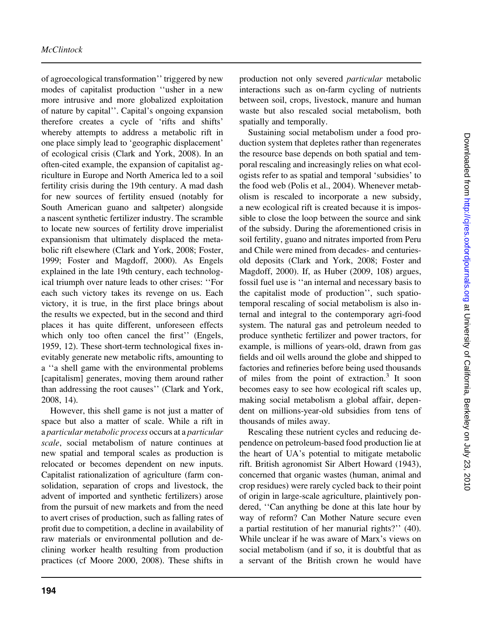of agroecological transformation'' triggered by new modes of capitalist production ''usher in a new more intrusive and more globalized exploitation of nature by capital''. Capital's ongoing expansion therefore creates a cycle of 'rifts and shifts' whereby attempts to address a metabolic rift in one place simply lead to 'geographic displacement' of ecological crisis (Clark and York, 2008). In an often-cited example, the expansion of capitalist agriculture in Europe and North America led to a soil fertility crisis during the 19th century. A mad dash for new sources of fertility ensued (notably for South American guano and saltpeter) alongside a nascent synthetic fertilizer industry. The scramble to locate new sources of fertility drove imperialist expansionism that ultimately displaced the metabolic rift elsewhere (Clark and York, 2008; Foster, 1999; Foster and Magdoff, 2000). As Engels explained in the late 19th century, each technological triumph over nature leads to other crises: ''For each such victory takes its revenge on us. Each victory, it is true, in the first place brings about the results we expected, but in the second and third places it has quite different, unforeseen effects which only too often cancel the first'' (Engels, 1959, 12). These short-term technological fixes inevitably generate new metabolic rifts, amounting to a ''a shell game with the environmental problems [capitalism] generates, moving them around rather than addressing the root causes'' (Clark and York, 2008, 14).

However, this shell game is not just a matter of space but also a matter of scale. While a rift in a particular metabolic process occurs at a particular scale, social metabolism of nature continues at new spatial and temporal scales as production is relocated or becomes dependent on new inputs. Capitalist rationalization of agriculture (farm consolidation, separation of crops and livestock, the advent of imported and synthetic fertilizers) arose from the pursuit of new markets and from the need to avert crises of production, such as falling rates of profit due to competition, a decline in availability of raw materials or environmental pollution and declining worker health resulting from production practices (cf Moore 2000, 2008). These shifts in production not only severed particular metabolic interactions such as on-farm cycling of nutrients between soil, crops, livestock, manure and human waste but also rescaled social metabolism, both spatially and temporally.

Sustaining social metabolism under a food production system that depletes rather than regenerates the resource base depends on both spatial and temporal rescaling and increasingly relies on what ecologists refer to as spatial and temporal 'subsidies' to the food web (Polis et al., 2004). Whenever metabolism is rescaled to incorporate a new subsidy, a new ecological rift is created because it is impossible to close the loop between the source and sink of the subsidy. During the aforementioned crisis in soil fertility, guano and nitrates imported from Peru and Chile were mined from decades- and centuriesold deposits (Clark and York, 2008; Foster and Magdoff, 2000). If, as Huber (2009, 108) argues, fossil fuel use is ''an internal and necessary basis to the capitalist mode of production'', such spatiotemporal rescaling of social metabolism is also internal and integral to the contemporary agri-food system. The natural gas and petroleum needed to produce synthetic fertilizer and power tractors, for example, is millions of years-old, drawn from gas fields and oil wells around the globe and shipped to factories and refineries before being used thousands of miles from the point of extraction.<sup>3</sup> It soon becomes easy to see how ecological rift scales up, making social metabolism a global affair, dependent on millions-year-old subsidies from tens of thousands of miles away.

Rescaling these nutrient cycles and reducing dependence on petroleum-based food production lie at the heart of UA's potential to mitigate metabolic rift. British agronomist Sir Albert Howard (1943), concerned that organic wastes (human, animal and crop residues) were rarely cycled back to their point of origin in large-scale agriculture, plaintively pondered, ''Can anything be done at this late hour by way of reform? Can Mother Nature secure even a partial restitution of her manurial rights?'' (40). While unclear if he was aware of Marx's views on social metabolism (and if so, it is doubtful that as a servant of the British crown he would have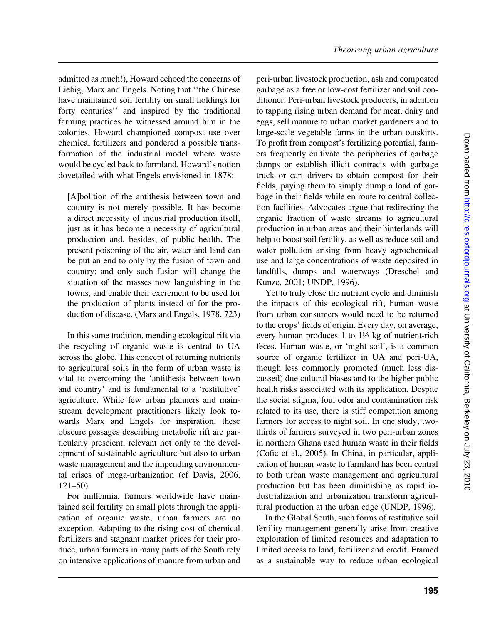admitted as much!), Howard echoed the concerns of Liebig, Marx and Engels. Noting that ''the Chinese have maintained soil fertility on small holdings for forty centuries'' and inspired by the traditional farming practices he witnessed around him in the colonies, Howard championed compost use over chemical fertilizers and pondered a possible transformation of the industrial model where waste would be cycled back to farmland. Howard's notion dovetailed with what Engels envisioned in 1878:

[A]bolition of the antithesis between town and country is not merely possible. It has become a direct necessity of industrial production itself, just as it has become a necessity of agricultural production and, besides, of public health. The present poisoning of the air, water and land can be put an end to only by the fusion of town and country; and only such fusion will change the situation of the masses now languishing in the towns, and enable their excrement to be used for the production of plants instead of for the production of disease. (Marx and Engels, 1978, 723)

In this same tradition, mending ecological rift via the recycling of organic waste is central to UA across the globe. This concept of returning nutrients to agricultural soils in the form of urban waste is vital to overcoming the 'antithesis between town and country' and is fundamental to a 'restitutive' agriculture. While few urban planners and mainstream development practitioners likely look towards Marx and Engels for inspiration, these obscure passages describing metabolic rift are particularly prescient, relevant not only to the development of sustainable agriculture but also to urban waste management and the impending environmental crises of mega-urbanization (cf Davis, 2006, 121–50).

For millennia, farmers worldwide have maintained soil fertility on small plots through the application of organic waste; urban farmers are no exception. Adapting to the rising cost of chemical fertilizers and stagnant market prices for their produce, urban farmers in many parts of the South rely on intensive applications of manure from urban and peri-urban livestock production, ash and composted garbage as a free or low-cost fertilizer and soil conditioner. Peri-urban livestock producers, in addition to tapping rising urban demand for meat, dairy and eggs, sell manure to urban market gardeners and to large-scale vegetable farms in the urban outskirts. To profit from compost's fertilizing potential, farmers frequently cultivate the peripheries of garbage dumps or establish illicit contracts with garbage truck or cart drivers to obtain compost for their fields, paying them to simply dump a load of garbage in their fields while en route to central collection facilities. Advocates argue that redirecting the organic fraction of waste streams to agricultural production in urban areas and their hinterlands will help to boost soil fertility, as well as reduce soil and water pollution arising from heavy agrochemical use and large concentrations of waste deposited in landfills, dumps and waterways (Dreschel and Kunze, 2001; UNDP, 1996).

Yet to truly close the nutrient cycle and diminish the impacts of this ecological rift, human waste from urban consumers would need to be returned to the crops' fields of origin. Every day, on average, every human produces 1 to 1½ kg of nutrient-rich feces. Human waste, or 'night soil', is a common source of organic fertilizer in UA and peri-UA, though less commonly promoted (much less discussed) due cultural biases and to the higher public health risks associated with its application. Despite the social stigma, foul odor and contamination risk related to its use, there is stiff competition among farmers for access to night soil. In one study, twothirds of farmers surveyed in two peri-urban zones in northern Ghana used human waste in their fields (Cofie et al., 2005). In China, in particular, application of human waste to farmland has been central to both urban waste management and agricultural production but has been diminishing as rapid industrialization and urbanization transform agricultural production at the urban edge (UNDP, 1996).

In the Global South, such forms of restitutive soil fertility management generally arise from creative exploitation of limited resources and adaptation to limited access to land, fertilizer and credit. Framed as a sustainable way to reduce urban ecological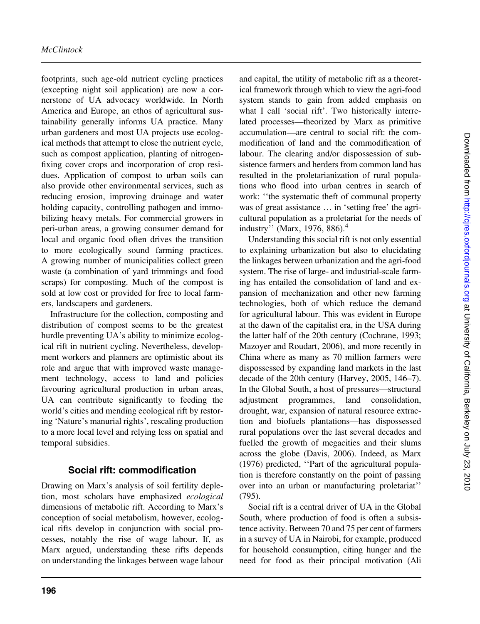footprints, such age-old nutrient cycling practices (excepting night soil application) are now a cornerstone of UA advocacy worldwide. In North America and Europe, an ethos of agricultural sustainability generally informs UA practice. Many urban gardeners and most UA projects use ecological methods that attempt to close the nutrient cycle, such as compost application, planting of nitrogenfixing cover crops and incorporation of crop residues. Application of compost to urban soils can also provide other environmental services, such as reducing erosion, improving drainage and water holding capacity, controlling pathogen and immobilizing heavy metals. For commercial growers in peri-urban areas, a growing consumer demand for local and organic food often drives the transition to more ecologically sound farming practices. A growing number of municipalities collect green waste (a combination of yard trimmings and food scraps) for composting. Much of the compost is sold at low cost or provided for free to local farmers, landscapers and gardeners.

Infrastructure for the collection, composting and distribution of compost seems to be the greatest hurdle preventing UA's ability to minimize ecological rift in nutrient cycling. Nevertheless, development workers and planners are optimistic about its role and argue that with improved waste management technology, access to land and policies favouring agricultural production in urban areas, UA can contribute significantly to feeding the world's cities and mending ecological rift by restoring 'Nature's manurial rights', rescaling production to a more local level and relying less on spatial and temporal subsidies.

## Social rift: commodification

Drawing on Marx's analysis of soil fertility depletion, most scholars have emphasized ecological dimensions of metabolic rift. According to Marx's conception of social metabolism, however, ecological rifts develop in conjunction with social processes, notably the rise of wage labour. If, as Marx argued, understanding these rifts depends on understanding the linkages between wage labour

and capital, the utility of metabolic rift as a theoretical framework through which to view the agri-food system stands to gain from added emphasis on what I call 'social rift'. Two historically interrelated processes—theorized by Marx as primitive accumulation—are central to social rift: the commodification of land and the commodification of labour. The clearing and/or dispossession of subsistence farmers and herders from common land has resulted in the proletarianization of rural populations who flood into urban centres in search of work: ''the systematic theft of communal property was of great assistance ... in 'setting free' the agricultural population as a proletariat for the needs of industry'' (Marx, 1976, 886).<sup>4</sup>

Understanding this social rift is not only essential to explaining urbanization but also to elucidating the linkages between urbanization and the agri-food system. The rise of large- and industrial-scale farming has entailed the consolidation of land and expansion of mechanization and other new farming technologies, both of which reduce the demand for agricultural labour. This was evident in Europe at the dawn of the capitalist era, in the USA during the latter half of the 20th century (Cochrane, 1993; Mazoyer and Roudart, 2006), and more recently in China where as many as 70 million farmers were dispossessed by expanding land markets in the last decade of the 20th century (Harvey, 2005, 146–7). In the Global South, a host of pressures—structural adjustment programmes, land consolidation, drought, war, expansion of natural resource extraction and biofuels plantations—has dispossessed rural populations over the last several decades and fuelled the growth of megacities and their slums across the globe (Davis, 2006). Indeed, as Marx (1976) predicted, ''Part of the agricultural population is therefore constantly on the point of passing over into an urban or manufacturing proletariat'' (795).

Social rift is a central driver of UA in the Global South, where production of food is often a subsistence activity. Between 70 and 75 per cent of farmers in a survey of UA in Nairobi, for example, produced for household consumption, citing hunger and the need for food as their principal motivation (Ali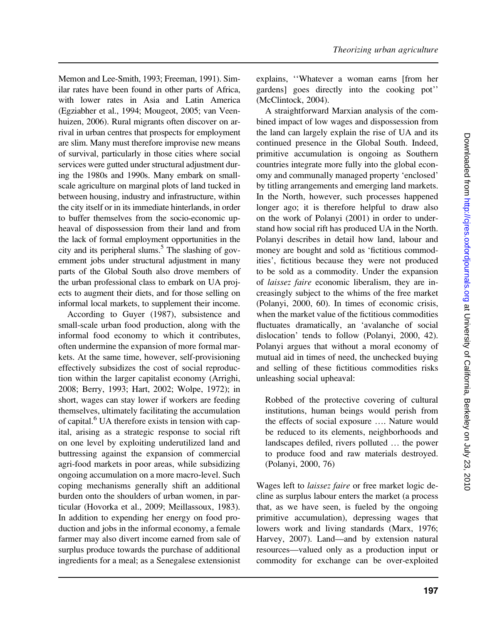Memon and Lee-Smith, 1993; Freeman, 1991). Similar rates have been found in other parts of Africa, with lower rates in Asia and Latin America (Egziabher et al., 1994; Mougeot, 2005; van Veenhuizen, 2006). Rural migrants often discover on arrival in urban centres that prospects for employment are slim. Many must therefore improvise new means of survival, particularly in those cities where social services were gutted under structural adjustment during the 1980s and 1990s. Many embark on smallscale agriculture on marginal plots of land tucked in between housing, industry and infrastructure, within the city itself or in its immediate hinterlands, in order to buffer themselves from the socio-economic upheaval of dispossession from their land and from the lack of formal employment opportunities in the city and its peripheral slums.<sup>5</sup> The slashing of government jobs under structural adjustment in many parts of the Global South also drove members of the urban professional class to embark on UA projects to augment their diets, and for those selling on informal local markets, to supplement their income.

According to Guyer (1987), subsistence and small-scale urban food production, along with the informal food economy to which it contributes, often undermine the expansion of more formal markets. At the same time, however, self-provisioning effectively subsidizes the cost of social reproduction within the larger capitalist economy (Arrighi, 2008; Berry, 1993; Hart, 2002; Wolpe, 1972); in short, wages can stay lower if workers are feeding themselves, ultimately facilitating the accumulation of capital.<sup>6</sup> UA therefore exists in tension with capital, arising as a strategic response to social rift on one level by exploiting underutilized land and buttressing against the expansion of commercial agri-food markets in poor areas, while subsidizing ongoing accumulation on a more macro-level. Such coping mechanisms generally shift an additional burden onto the shoulders of urban women, in particular (Hovorka et al., 2009; Meillassoux, 1983). In addition to expending her energy on food production and jobs in the informal economy, a female farmer may also divert income earned from sale of surplus produce towards the purchase of additional ingredients for a meal; as a Senegalese extensionist explains, ''Whatever a woman earns [from her gardens] goes directly into the cooking pot'' (McClintock, 2004).

A straightforward Marxian analysis of the combined impact of low wages and dispossession from the land can largely explain the rise of UA and its continued presence in the Global South. Indeed, primitive accumulation is ongoing as Southern countries integrate more fully into the global economy and communally managed property 'enclosed' by titling arrangements and emerging land markets. In the North, however, such processes happened longer ago; it is therefore helpful to draw also on the work of Polanyi (2001) in order to understand how social rift has produced UA in the North. Polanyi describes in detail how land, labour and money are bought and sold as 'fictitious commodities', fictitious because they were not produced to be sold as a commodity. Under the expansion of laissez faire economic liberalism, they are increasingly subject to the whims of the free market (Polanyi, 2000, 60). In times of economic crisis, when the market value of the fictitious commodities fluctuates dramatically, an 'avalanche of social dislocation' tends to follow (Polanyi, 2000, 42). Polanyi argues that without a moral economy of mutual aid in times of need, the unchecked buying and selling of these fictitious commodities risks unleashing social upheaval:

Robbed of the protective covering of cultural institutions, human beings would perish from the effects of social exposure .... Nature would be reduced to its elements, neighborhoods and landscapes defiled, rivers polluted ... the power to produce food and raw materials destroyed. (Polanyi, 2000, 76)

Wages left to laissez faire or free market logic decline as surplus labour enters the market (a process that, as we have seen, is fueled by the ongoing primitive accumulation), depressing wages that lowers work and living standards (Marx, 1976; Harvey, 2007). Land—and by extension natural resources—valued only as a production input or commodity for exchange can be over-exploited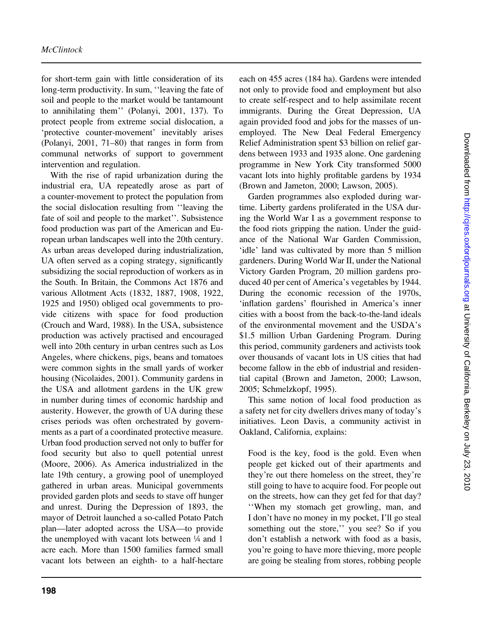for short-term gain with little consideration of its long-term productivity. In sum, ''leaving the fate of soil and people to the market would be tantamount to annihilating them'' (Polanyi, 2001, 137). To protect people from extreme social dislocation, a 'protective counter-movement' inevitably arises (Polanyi, 2001, 71–80) that ranges in form from communal networks of support to government intervention and regulation.

With the rise of rapid urbanization during the industrial era, UA repeatedly arose as part of a counter-movement to protect the population from the social dislocation resulting from ''leaving the fate of soil and people to the market''. Subsistence food production was part of the American and European urban landscapes well into the 20th century. As urban areas developed during industrialization, UA often served as a coping strategy, significantly subsidizing the social reproduction of workers as in the South. In Britain, the Commons Act 1876 and various Allotment Acts (1832, 1887, 1908, 1922, 1925 and 1950) obliged ocal governments to provide citizens with space for food production (Crouch and Ward, 1988). In the USA, subsistence production was actively practised and encouraged well into 20th century in urban centres such as Los Angeles, where chickens, pigs, beans and tomatoes were common sights in the small yards of worker housing (Nicolaides, 2001). Community gardens in the USA and allotment gardens in the UK grew in number during times of economic hardship and austerity. However, the growth of UA during these crises periods was often orchestrated by governments as a part of a coordinated protective measure. Urban food production served not only to buffer for food security but also to quell potential unrest (Moore, 2006). As America industrialized in the late 19th century, a growing pool of unemployed gathered in urban areas. Municipal governments provided garden plots and seeds to stave off hunger and unrest. During the Depression of 1893, the mayor of Detroit launched a so-called Potato Patch plan—later adopted across the USA—to provide the unemployed with vacant lots between ¼ and 1 acre each. More than 1500 families farmed small vacant lots between an eighth- to a half-hectare each on 455 acres (184 ha). Gardens were intended not only to provide food and employment but also to create self-respect and to help assimilate recent immigrants. During the Great Depression, UA again provided food and jobs for the masses of unemployed. The New Deal Federal Emergency Relief Administration spent \$3 billion on relief gardens between 1933 and 1935 alone. One gardening programme in New York City transformed 5000 vacant lots into highly profitable gardens by 1934 (Brown and Jameton, 2000; Lawson, 2005).

Garden programmes also exploded during wartime. Liberty gardens proliferated in the USA during the World War I as a government response to the food riots gripping the nation. Under the guidance of the National War Garden Commission, 'idle' land was cultivated by more than 5 million gardeners. During World War II, under the National Victory Garden Program, 20 million gardens produced 40 per cent of America's vegetables by 1944. During the economic recession of the 1970s, 'inflation gardens' flourished in America's inner cities with a boost from the back-to-the-land ideals of the environmental movement and the USDA's \$1.5 million Urban Gardening Program. During this period, community gardeners and activists took over thousands of vacant lots in US cities that had become fallow in the ebb of industrial and residential capital (Brown and Jameton, 2000; Lawson, 2005; Schmelzkopf, 1995).

This same notion of local food production as a safety net for city dwellers drives many of today's initiatives. Leon Davis, a community activist in Oakland, California, explains:

Food is the key, food is the gold. Even when people get kicked out of their apartments and they're out there homeless on the street, they're still going to have to acquire food. For people out on the streets, how can they get fed for that day? ''When my stomach get growling, man, and I don't have no money in my pocket, I'll go steal something out the store,'' you see? So if you don't establish a network with food as a basis, you're going to have more thieving, more people are going be stealing from stores, robbing people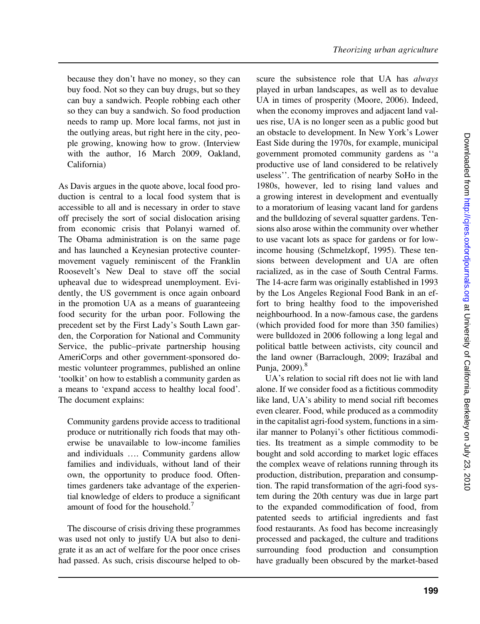because they don't have no money, so they can buy food. Not so they can buy drugs, but so they can buy a sandwich. People robbing each other so they can buy a sandwich. So food production needs to ramp up. More local farms, not just in the outlying areas, but right here in the city, people growing, knowing how to grow. (Interview with the author, 16 March 2009, Oakland, California)

As Davis argues in the quote above, local food production is central to a local food system that is accessible to all and is necessary in order to stave off precisely the sort of social dislocation arising from economic crisis that Polanyi warned of. The Obama administration is on the same page and has launched a Keynesian protective countermovement vaguely reminiscent of the Franklin Roosevelt's New Deal to stave off the social upheaval due to widespread unemployment. Evidently, the US government is once again onboard in the promotion UA as a means of guaranteeing food security for the urban poor. Following the precedent set by the First Lady's South Lawn garden, the Corporation for National and Community Service, the public–private partnership housing AmeriCorps and other government-sponsored domestic volunteer programmes, published an online 'toolkit' on how to establish a community garden as a means to 'expand access to healthy local food'. The document explains:

Community gardens provide access to traditional produce or nutritionally rich foods that may otherwise be unavailable to low-income families and individuals .... Community gardens allow families and individuals, without land of their own, the opportunity to produce food. Oftentimes gardeners take advantage of the experiential knowledge of elders to produce a significant amount of food for the household.<sup>7</sup>

The discourse of crisis driving these programmes was used not only to justify UA but also to denigrate it as an act of welfare for the poor once crises had passed. As such, crisis discourse helped to obscure the subsistence role that UA has always played in urban landscapes, as well as to devalue UA in times of prosperity (Moore, 2006). Indeed, when the economy improves and adjacent land values rise, UA is no longer seen as a public good but an obstacle to development. In New York's Lower East Side during the 1970s, for example, municipal government promoted community gardens as ''a productive use of land considered to be relatively useless''. The gentrification of nearby SoHo in the 1980s, however, led to rising land values and a growing interest in development and eventually to a moratorium of leasing vacant land for gardens and the bulldozing of several squatter gardens. Tensions also arose within the community over whether to use vacant lots as space for gardens or for lowincome housing (Schmelzkopf, 1995). These tensions between development and UA are often racialized, as in the case of South Central Farms. The 14-acre farm was originally established in 1993 by the Los Angeles Regional Food Bank in an effort to bring healthy food to the impoverished neighbourhood. In a now-famous case, the gardens (which provided food for more than 350 families) were bulldozed in 2006 following a long legal and political battle between activists, city council and the land owner (Barraclough, 2009; Irazábal and Punja, 2009).<sup>8</sup>

UA's relation to social rift does not lie with land alone. If we consider food as a fictitious commodity like land, UA's ability to mend social rift becomes even clearer. Food, while produced as a commodity in the capitalist agri-food system, functions in a similar manner to Polanyi's other fictitious commodities. Its treatment as a simple commodity to be bought and sold according to market logic effaces the complex weave of relations running through its production, distribution, preparation and consumption. The rapid transformation of the agri-food system during the 20th century was due in large part to the expanded commodification of food, from patented seeds to artificial ingredients and fast food restaurants. As food has become increasingly processed and packaged, the culture and traditions surrounding food production and consumption have gradually been obscured by the market-based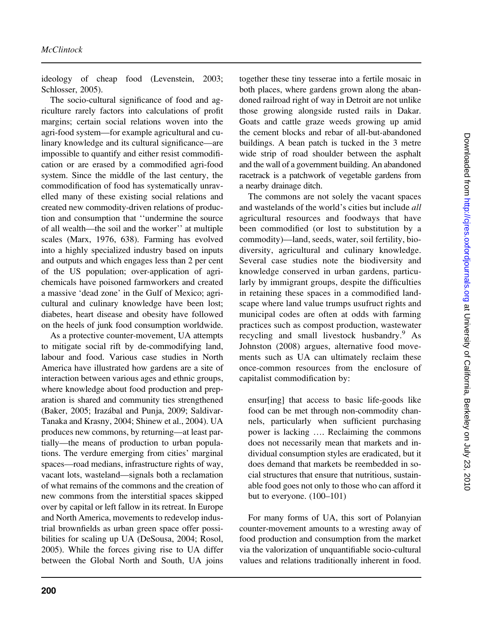ideology of cheap food (Levenstein, 2003; Schlosser, 2005).

The socio-cultural significance of food and agriculture rarely factors into calculations of profit margins; certain social relations woven into the agri-food system—for example agricultural and culinary knowledge and its cultural significance—are impossible to quantify and either resist commodification or are erased by a commodified agri-food system. Since the middle of the last century, the commodification of food has systematically unravelled many of these existing social relations and created new commodity-driven relations of production and consumption that ''undermine the source of all wealth—the soil and the worker'' at multiple scales (Marx, 1976, 638). Farming has evolved into a highly specialized industry based on inputs and outputs and which engages less than 2 per cent of the US population; over-application of agrichemicals have poisoned farmworkers and created a massive 'dead zone' in the Gulf of Mexico; agricultural and culinary knowledge have been lost; diabetes, heart disease and obesity have followed on the heels of junk food consumption worldwide.

As a protective counter-movement, UA attempts to mitigate social rift by de-commodifying land, labour and food. Various case studies in North America have illustrated how gardens are a site of interaction between various ages and ethnic groups, where knowledge about food production and preparation is shared and community ties strengthened (Baker, 2005; Irazábal and Punja, 2009; Saldivar-Tanaka and Krasny, 2004; Shinew et al., 2004). UA produces new commons, by returning—at least partially—the means of production to urban populations. The verdure emerging from cities' marginal spaces—road medians, infrastructure rights of way, vacant lots, wasteland—signals both a reclamation of what remains of the commons and the creation of new commons from the interstitial spaces skipped over by capital or left fallow in its retreat. In Europe and North America, movements to redevelop industrial brownfields as urban green space offer possibilities for scaling up UA (DeSousa, 2004; Rosol, 2005). While the forces giving rise to UA differ between the Global North and South, UA joins together these tiny tesserae into a fertile mosaic in both places, where gardens grown along the abandoned railroad right of way in Detroit are not unlike those growing alongside rusted rails in Dakar. Goats and cattle graze weeds growing up amid the cement blocks and rebar of all-but-abandoned buildings. A bean patch is tucked in the 3 metre wide strip of road shoulder between the asphalt and the wall of a government building. An abandoned racetrack is a patchwork of vegetable gardens from a nearby drainage ditch.

The commons are not solely the vacant spaces and wastelands of the world's cities but include all agricultural resources and foodways that have been commodified (or lost to substitution by a commodity)—land, seeds, water, soil fertility, biodiversity, agricultural and culinary knowledge. Several case studies note the biodiversity and knowledge conserved in urban gardens, particularly by immigrant groups, despite the difficulties in retaining these spaces in a commodified landscape where land value trumps usufruct rights and municipal codes are often at odds with farming practices such as compost production, wastewater recycling and small livestock husbandry.<sup>9</sup> As Johnston (2008) argues, alternative food movements such as UA can ultimately reclaim these once-common resources from the enclosure of capitalist commodification by:

ensur[ing] that access to basic life-goods like food can be met through non-commodity channels, particularly when sufficient purchasing power is lacking .... Reclaiming the commons does not necessarily mean that markets and individual consumption styles are eradicated, but it does demand that markets be reembedded in social structures that ensure that nutritious, sustainable food goes not only to those who can afford it but to everyone. (100–101)

For many forms of UA, this sort of Polanyian counter-movement amounts to a wresting away of food production and consumption from the market via the valorization of unquantifiable socio-cultural values and relations traditionally inherent in food.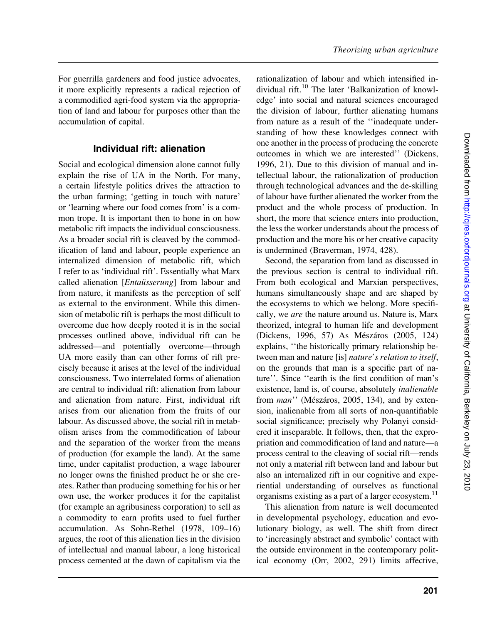For guerrilla gardeners and food justice advocates, it more explicitly represents a radical rejection of a commodified agri-food system via the appropriation of land and labour for purposes other than the accumulation of capital.

## Individual rift: alienation

Social and ecological dimension alone cannot fully explain the rise of UA in the North. For many, a certain lifestyle politics drives the attraction to the urban farming; 'getting in touch with nature' or 'learning where our food comes from' is a common trope. It is important then to hone in on how metabolic rift impacts the individual consciousness. As a broader social rift is cleaved by the commodification of land and labour, people experience an internalized dimension of metabolic rift, which I refer to as 'individual rift'. Essentially what Marx called alienation [*Entaüsserung*] from labour and from nature, it manifests as the perception of self as external to the environment. While this dimension of metabolic rift is perhaps the most difficult to overcome due how deeply rooted it is in the social processes outlined above, individual rift can be addressed—and potentially overcome—through UA more easily than can other forms of rift precisely because it arises at the level of the individual consciousness. Two interrelated forms of alienation are central to individual rift: alienation from labour and alienation from nature. First, individual rift arises from our alienation from the fruits of our labour. As discussed above, the social rift in metabolism arises from the commodification of labour and the separation of the worker from the means of production (for example the land). At the same time, under capitalist production, a wage labourer no longer owns the finished product he or she creates. Rather than producing something for his or her own use, the worker produces it for the capitalist (for example an agribusiness corporation) to sell as a commodity to earn profits used to fuel further accumulation. As Sohn-Rethel (1978, 109–16) argues, the root of this alienation lies in the division of intellectual and manual labour, a long historical process cemented at the dawn of capitalism via the rationalization of labour and which intensified individual rift.<sup>10</sup> The later 'Balkanization of knowledge' into social and natural sciences encouraged the division of labour, further alienating humans from nature as a result of the ''inadequate understanding of how these knowledges connect with one another in the process of producing the concrete outcomes in which we are interested'' (Dickens, 1996, 21). Due to this division of manual and intellectual labour, the rationalization of production through technological advances and the de-skilling of labour have further alienated the worker from the product and the whole process of production. In short, the more that science enters into production, the less the worker understands about the process of production and the more his or her creative capacity is undermined (Braverman, 1974, 428).

Second, the separation from land as discussed in the previous section is central to individual rift. From both ecological and Marxian perspectives, humans simultaneously shape and are shaped by the ecosystems to which we belong. More specifically, we are the nature around us. Nature is, Marx theorized, integral to human life and development (Dickens, 1996, 57) As Mészáros (2005, 124) explains, ''the historically primary relationship between man and nature [is] *nature's relation to itself*, on the grounds that man is a specific part of nature''. Since ''earth is the first condition of man's existence, land is, of course, absolutely inalienable from  $man'$  (Mészáros, 2005, 134), and by extension, inalienable from all sorts of non-quantifiable social significance; precisely why Polanyi considered it inseparable. It follows, then, that the expropriation and commodification of land and nature—a process central to the cleaving of social rift—rends not only a material rift between land and labour but also an internalized rift in our cognitive and experiential understanding of ourselves as functional organisms existing as a part of a larger ecosystem. $11$ 

This alienation from nature is well documented in developmental psychology, education and evolutionary biology, as well. The shift from direct to 'increasingly abstract and symbolic' contact with the outside environment in the contemporary political economy (Orr, 2002, 291) limits affective,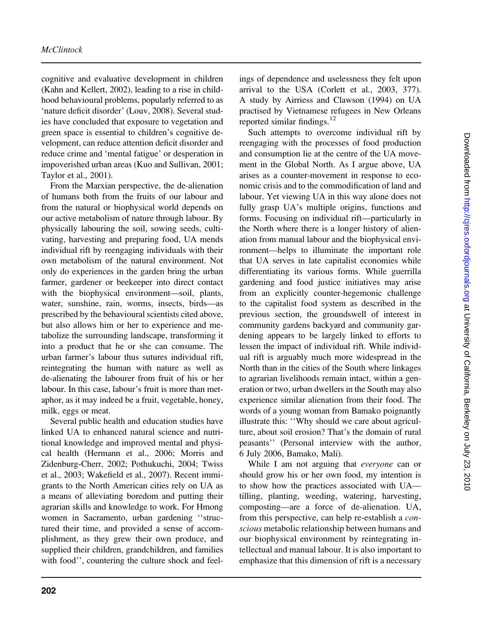cognitive and evaluative development in children (Kahn and Kellert, 2002), leading to a rise in childhood behavioural problems, popularly referred to as 'nature deficit disorder' (Louv, 2008). Several studies have concluded that exposure to vegetation and green space is essential to children's cognitive development, can reduce attention deficit disorder and reduce crime and 'mental fatigue' or desperation in impoverished urban areas (Kuo and Sullivan, 2001; Taylor et al., 2001).

From the Marxian perspective, the de-alienation of humans both from the fruits of our labour and from the natural or biophysical world depends on our active metabolism of nature through labour. By physically labouring the soil, sowing seeds, cultivating, harvesting and preparing food, UA mends individual rift by reengaging individuals with their own metabolism of the natural environment. Not only do experiences in the garden bring the urban farmer, gardener or beekeeper into direct contact with the biophysical environment—soil, plants, water, sunshine, rain, worms, insects, birds—as prescribed by the behavioural scientists cited above, but also allows him or her to experience and metabolize the surrounding landscape, transforming it into a product that he or she can consume. The urban farmer's labour thus sutures individual rift, reintegrating the human with nature as well as de-alienating the labourer from fruit of his or her labour. In this case, labour's fruit is more than metaphor, as it may indeed be a fruit, vegetable, honey, milk, eggs or meat.

Several public health and education studies have linked UA to enhanced natural science and nutritional knowledge and improved mental and physical health (Hermann et al., 2006; Morris and Zidenburg-Cherr, 2002; Pothukuchi, 2004; Twiss et al., 2003; Wakefield et al., 2007). Recent immigrants to the North American cities rely on UA as a means of alleviating boredom and putting their agrarian skills and knowledge to work. For Hmong women in Sacramento, urban gardening ''structured their time, and provided a sense of accomplishment, as they grew their own produce, and supplied their children, grandchildren, and families with food'', countering the culture shock and feelings of dependence and uselessness they felt upon arrival to the USA (Corlett et al., 2003, 377). A study by Airriess and Clawson (1994) on UA practised by Vietnamese refugees in New Orleans reported similar findings. $12$ 

Such attempts to overcome individual rift by reengaging with the processes of food production and consumption lie at the centre of the UA movement in the Global North. As I argue above, UA arises as a counter-movement in response to economic crisis and to the commodification of land and labour. Yet viewing UA in this way alone does not fully grasp UA's multiple origins, functions and forms. Focusing on individual rift—particularly in the North where there is a longer history of alienation from manual labour and the biophysical environment—helps to illuminate the important role that UA serves in late capitalist economies while differentiating its various forms. While guerrilla gardening and food justice initiatives may arise from an explicitly counter-hegemonic challenge to the capitalist food system as described in the previous section, the groundswell of interest in community gardens backyard and community gardening appears to be largely linked to efforts to lessen the impact of individual rift. While individual rift is arguably much more widespread in the North than in the cities of the South where linkages to agrarian livelihoods remain intact, within a generation or two, urban dwellers in the South may also experience similar alienation from their food. The words of a young woman from Bamako poignantly illustrate this: ''Why should we care about agriculture, about soil erosion? That's the domain of rural peasants'' (Personal interview with the author, 6 July 2006, Bamako, Mali).

While I am not arguing that *everyone* can or should grow his or her own food, my intention is to show how the practices associated with UA tilling, planting, weeding, watering, harvesting, composting—are a force of de-alienation. UA, from this perspective, can help re-establish a conscious metabolic relationship between humans and our biophysical environment by reintegrating intellectual and manual labour. It is also important to emphasize that this dimension of rift is a necessary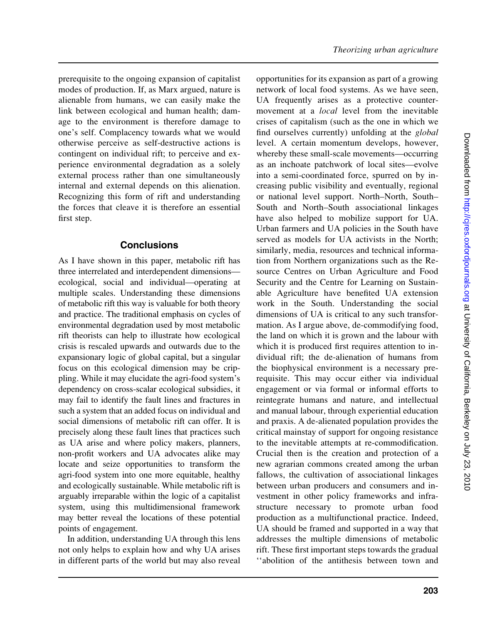prerequisite to the ongoing expansion of capitalist modes of production. If, as Marx argued, nature is alienable from humans, we can easily make the link between ecological and human health; damage to the environment is therefore damage to one's self. Complacency towards what we would otherwise perceive as self-destructive actions is contingent on individual rift; to perceive and experience environmental degradation as a solely external process rather than one simultaneously internal and external depends on this alienation. Recognizing this form of rift and understanding the forces that cleave it is therefore an essential first step.

## **Conclusions**

As I have shown in this paper, metabolic rift has three interrelated and interdependent dimensions ecological, social and individual—operating at multiple scales. Understanding these dimensions of metabolic rift this way is valuable for both theory and practice. The traditional emphasis on cycles of environmental degradation used by most metabolic rift theorists can help to illustrate how ecological crisis is rescaled upwards and outwards due to the expansionary logic of global capital, but a singular focus on this ecological dimension may be crippling. While it may elucidate the agri-food system's dependency on cross-scalar ecological subsidies, it may fail to identify the fault lines and fractures in such a system that an added focus on individual and social dimensions of metabolic rift can offer. It is precisely along these fault lines that practices such as UA arise and where policy makers, planners, non-profit workers and UA advocates alike may locate and seize opportunities to transform the agri-food system into one more equitable, healthy and ecologically sustainable. While metabolic rift is arguably irreparable within the logic of a capitalist system, using this multidimensional framework may better reveal the locations of these potential points of engagement.

In addition, understanding UA through this lens not only helps to explain how and why UA arises in different parts of the world but may also reveal opportunities for its expansion as part of a growing network of local food systems. As we have seen, UA frequently arises as a protective countermovement at a local level from the inevitable crises of capitalism (such as the one in which we find ourselves currently) unfolding at the global level. A certain momentum develops, however, whereby these small-scale movements—occurring as an inchoate patchwork of local sites—evolve into a semi-coordinated force, spurred on by increasing public visibility and eventually, regional or national level support. North–North, South– South and North–South associational linkages have also helped to mobilize support for UA. Urban farmers and UA policies in the South have served as models for UA activists in the North; similarly, media, resources and technical information from Northern organizations such as the Resource Centres on Urban Agriculture and Food Security and the Centre for Learning on Sustainable Agriculture have benefited UA extension work in the South. Understanding the social dimensions of UA is critical to any such transformation. As I argue above, de-commodifying food, the land on which it is grown and the labour with which it is produced first requires attention to individual rift; the de-alienation of humans from the biophysical environment is a necessary prerequisite. This may occur either via individual engagement or via formal or informal efforts to reintegrate humans and nature, and intellectual and manual labour, through experiential education and praxis. A de-alienated population provides the critical mainstay of support for ongoing resistance to the inevitable attempts at re-commodification. Crucial then is the creation and protection of a new agrarian commons created among the urban fallows, the cultivation of associational linkages between urban producers and consumers and investment in other policy frameworks and infrastructure necessary to promote urban food production as a multifunctional practice. Indeed, UA should be framed and supported in a way that addresses the multiple dimensions of metabolic rift. These first important steps towards the gradual ''abolition of the antithesis between town and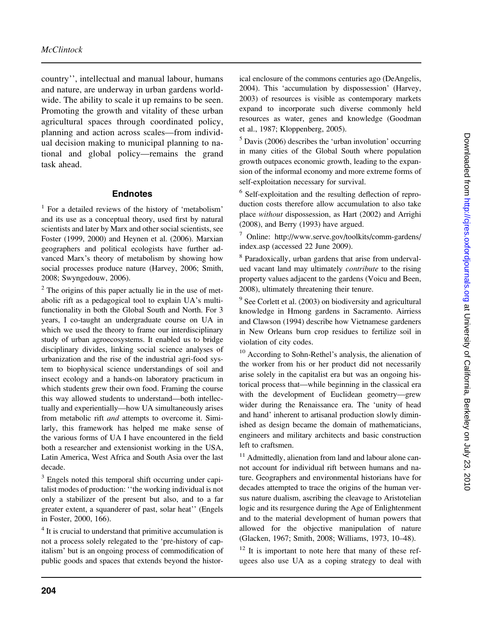country'', intellectual and manual labour, humans and nature, are underway in urban gardens worldwide. The ability to scale it up remains to be seen. Promoting the growth and vitality of these urban agricultural spaces through coordinated policy, planning and action across scales—from individual decision making to municipal planning to national and global policy—remains the grand task ahead.

#### Endnotes

 $1$  For a detailed reviews of the history of 'metabolism' and its use as a conceptual theory, used first by natural scientists and later by Marx and other social scientists, see Foster (1999, 2000) and Heynen et al. (2006). Marxian geographers and political ecologists have further advanced Marx's theory of metabolism by showing how social processes produce nature (Harvey, 2006; Smith, 2008; Swyngedouw, 2006).

 $2$ . The origins of this paper actually lie in the use of metabolic rift as a pedagogical tool to explain UA's multifunctionality in both the Global South and North. For 3 years, I co-taught an undergraduate course on UA in which we used the theory to frame our interdisciplinary study of urban agroecosystems. It enabled us to bridge disciplinary divides, linking social science analyses of urbanization and the rise of the industrial agri-food system to biophysical science understandings of soil and insect ecology and a hands-on laboratory practicum in which students grew their own food. Framing the course this way allowed students to understand—both intellectually and experientially—how UA simultaneously arises from metabolic rift *and* attempts to overcome it. Similarly, this framework has helped me make sense of the various forms of UA I have encountered in the field both a researcher and extensionist working in the USA, Latin America, West Africa and South Asia over the last decade.

 $3$  Engels noted this temporal shift occurring under capitalist modes of production: ''the working individual is not only a stabilizer of the present but also, and to a far greater extent, a squanderer of past, solar heat'' (Engels in Foster, 2000, 166).

<sup>4</sup> It is crucial to understand that primitive accumulation is not a process solely relegated to the 'pre-history of capitalism' but is an ongoing process of commodification of public goods and spaces that extends beyond the histor-

ical enclosure of the commons centuries ago (DeAngelis, 2004). This 'accumulation by dispossession' (Harvey, 2003) of resources is visible as contemporary markets expand to incorporate such diverse commonly held resources as water, genes and knowledge (Goodman et al., 1987; Kloppenberg, 2005).

 $<sup>5</sup>$  Davis (2006) describes the 'urban involution' occurring</sup> in many cities of the Global South where population growth outpaces economic growth, leading to the expansion of the informal economy and more extreme forms of self-exploitation necessary for survival.

<sup>6</sup> Self-exploitation and the resulting deflection of reproduction costs therefore allow accumulation to also take place without dispossession, as Hart (2002) and Arrighi (2008), and Berry (1993) have argued.

<sup>7</sup> Online: http://www.serve.gov/toolkits/comm-gardens/ index.asp (accessed 22 June 2009).

<sup>8</sup> Paradoxically, urban gardens that arise from undervalued vacant land may ultimately contribute to the rising property values adjacent to the gardens (Voicu and Been, 2008), ultimately threatening their tenure.

 $9$  See Corlett et al. (2003) on biodiversity and agricultural knowledge in Hmong gardens in Sacramento. Airriess and Clawson (1994) describe how Vietnamese gardeners in New Orleans burn crop residues to fertilize soil in violation of city codes.

<sup>10</sup> According to Sohn-Rethel's analysis, the alienation of the worker from his or her product did not necessarily arise solely in the capitalist era but was an ongoing historical process that—while beginning in the classical era with the development of Euclidean geometry—grew wider during the Renaissance era. The 'unity of head and hand' inherent to artisanal production slowly diminished as design became the domain of mathematicians, engineers and military architects and basic construction left to craftsmen.

 $11$  Admittedly, alienation from land and labour alone cannot account for individual rift between humans and nature. Geographers and environmental historians have for decades attempted to trace the origins of the human versus nature dualism, ascribing the cleavage to Aristotelian logic and its resurgence during the Age of Enlightenment and to the material development of human powers that allowed for the objective manipulation of nature (Glacken, 1967; Smith, 2008; Williams, 1973, 10–48).

 $12$  It is important to note here that many of these refugees also use UA as a coping strategy to deal with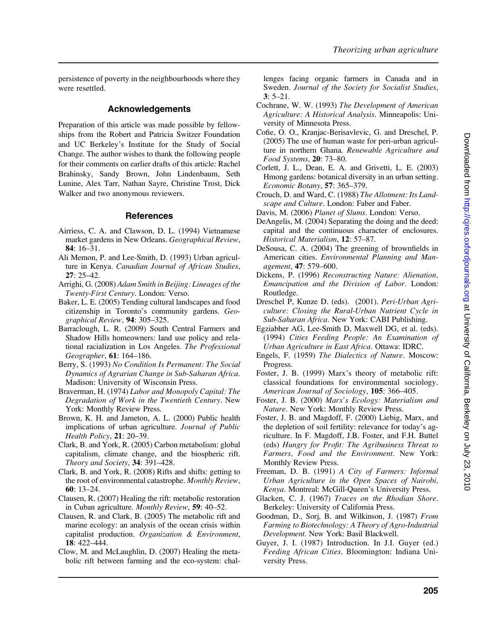persistence of poverty in the neighbourhoods where they were resettled.

#### Acknowledgements

Preparation of this article was made possible by fellowships from the Robert and Patricia Switzer Foundation and UC Berkeley's Institute for the Study of Social Change. The author wishes to thank the following people for their comments on earlier drafts of this article: Rachel Brahinsky, Sandy Brown, John Lindenbaum, Seth Lunine, Alex Tarr, Nathan Sayre, Christine Trost, Dick Walker and two anonymous reviewers.

#### References

- Airriess, C. A. and Clawson, D. L. (1994) Vietnamese market gardens in New Orleans. Geographical Review, 84: 16–31.
- Ali Memon, P. and Lee-Smith, D. (1993) Urban agriculture in Kenya. Canadian Journal of African Studies, 27: 25–42.
- Arrighi, G. (2008) Adam Smith in Beijing: Lineages of the Twenty-First Century. London: Verso.
- Baker, L. E. (2005) Tending cultural landscapes and food citizenship in Toronto's community gardens. Geographical Review, 94: 305-325.
- Barraclough, L. R. (2009) South Central Farmers and Shadow Hills homeowners: land use policy and relational racialization in Los Angeles. The Professional Geographer, 61: 164–186.
- Berry, S. (1993) No Condition Is Permanent: The Social Dynamics of Agrarian Change in Sub-Saharan Africa. Madison: University of Wisconsin Press.
- Braverman, H. (1974) Labor and Monopoly Capital: The Degradation of Work in the Twentieth Century. New York: Monthly Review Press.
- Brown, K. H. and Jameton, A. L. (2000) Public health implications of urban agriculture. Journal of Public Health Policy, 21: 20–39.
- Clark, B. and York, R. (2005) Carbon metabolism: global capitalism, climate change, and the biospheric rift. Theory and Society, 34: 391-428.
- Clark, B. and York, R. (2008) Rifts and shifts: getting to the root of environmental catastrophe. Monthly Review, 60: 13–24.
- Clausen, R. (2007) Healing the rift: metabolic restoration in Cuban agriculture. Monthly Review, 59: 40–52.
- Clausen, R. and Clark, B. (2005) The metabolic rift and marine ecology: an analysis of the ocean crisis within capitalist production. Organization & Environment, 18: 422–444.
- Clow, M. and McLaughlin, D. (2007) Healing the metabolic rift between farming and the eco-system: chal-

lenges facing organic farmers in Canada and in Sweden. Journal of the Society for Socialist Studies, 3: 5–21.

- Cochrane, W. W. (1993) The Development of American Agriculture: A Historical Analysis. Minneapolis: University of Minnesota Press.
- Cofie, O. O., Kranjac-Berisavlevic, G. and Dreschel, P. (2005) The use of human waste for peri-urban agriculture in northern Ghana. Renewable Agriculture and Food Systems, 20: 73–80.
- Corlett, J. L., Dean, E. A. and Grivetti, L. E. (2003) Hmong gardens: botanical diversity in an urban setting. Economic Botany, 57: 365–379.
- Crouch, D. and Ward, C. (1988) The Allotment: Its Landscape and Culture. London: Faber and Faber.
- Davis, M. (2006) Planet of Slums. London: Verso.
- DeAngelis, M. (2004) Separating the doing and the deed: capital and the continuous character of enclosures. Historical Materialism, 12: 57–87.
- DeSousa, C. A. (2004) The greening of brownfields in American cities. Environmental Planning and Management, 47: 579–600.
- Dickens, P. (1996) Reconstructing Nature: Alienation, Emancipation and the Division of Labor. London: Routledge.
- Dreschel P, Kunze D. (eds). (2001). Peri-Urban Agriculture: Closing the Rural-Urban Nutrient Cycle in Sub-Saharan Africa. New York: CABI Publishing.
- Egziabher AG, Lee-Smith D, Maxwell DG, et al. (eds). (1994) Cities Feeding People: An Examination of Urban Agriculture in East Africa. Ottawa: IDRC.
- Engels, F. (1959) The Dialectics of Nature. Moscow: Progress.
- Foster, J. B. (1999) Marx's theory of metabolic rift: classical foundations for environmental sociology. American Journal of Sociology, 105: 366–405.
- Foster, J. B. (2000) Marx's Ecology: Materialism and Nature. New York: Monthly Review Press.
- Foster, J. B. and Magdoff, F. (2000) Liebig, Marx, and the depletion of soil fertility: relevance for today's agriculture. In F. Magdoff, J.B. Foster, and F.H. Buttel (eds) Hungry for Profit: The Agribusiness Threat to Farmers, Food and the Environment. New York: Monthly Review Press.
- Freeman, D. B. (1991) A City of Farmers: Informal Urban Agriculture in the Open Spaces of Nairobi, Kenya. Montreal: McGill-Queen's University Press.
- Glacken, C. J. (1967) Traces on the Rhodian Shore. Berkeley: University of California Press.
- Goodman, D., Sorj, B. and Wilkinson, J. (1987) From Farming to Biotechnology: A Theory of Agro-Industrial Development. New York: Basil Blackwell.
- Guyer, J. I. (1987) Introduction. In J.I. Guyer (ed.) Feeding African Cities. Bloomington: Indiana University Press.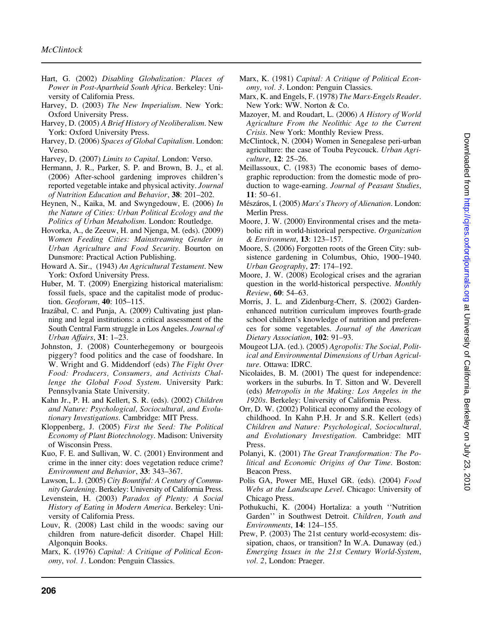- Hart, G. (2002) Disabling Globalization: Places of Power in Post-Apartheid South Africa. Berkeley: University of California Press.
- Harvey, D. (2003) The New Imperialism. New York: Oxford University Press.
- Harvey, D. (2005) A Brief History of Neoliberalism. New York: Oxford University Press.
- Harvey, D. (2006) Spaces of Global Capitalism. London: Verso.
- Harvey, D. (2007) Limits to Capital. London: Verso.
- Hermann, J. R., Parker, S. P. and Brown, B. J., et al. (2006) After-school gardening improves children's reported vegetable intake and physical activity. Journal of Nutrition Education and Behavior, 38: 201–202.
- Heynen, N., Kaika, M. and Swyngedouw, E. (2006) In the Nature of Cities: Urban Political Ecology and the Politics of Urban Metabolism. London: Routledge.
- Hovorka, A., de Zeeuw, H. and Njenga, M. (eds). (2009) Women Feeding Cities: Mainstreaming Gender in Urban Agriculture and Food Security. Bourton on Dunsmore: Practical Action Publishing.
- Howard A. Sir., (1943) An Agricultural Testament. New York: Oxford University Press.
- Huber, M. T. (2009) Energizing historical materialism: fossil fuels, space and the capitalist mode of production. Geoforum, 40: 105–115.
- Irazábal, C. and Punja, A. (2009) Cultivating just planning and legal institutions: a critical assessment of the South Central Farm struggle in Los Angeles. Journal of Urban Affairs, 31: 1–23.
- Johnston, J. (2008) Counterhegemony or bourgeois piggery? food politics and the case of foodshare. In W. Wright and G. Middendorf (eds) The Fight Over Food: Producers, Consumers, and Activists Challenge the Global Food System. University Park: Pennsylvania State University.
- Kahn Jr., P. H. and Kellert, S. R. (eds). (2002) Children and Nature: Psychological, Sociocultural, and Evolutionary Investigations. Cambridge: MIT Press.
- Kloppenberg, J. (2005) First the Seed: The Political Economy of Plant Biotechnology. Madison: University of Wisconsin Press.
- Kuo, F. E. and Sullivan, W. C. (2001) Environment and crime in the inner city: does vegetation reduce crime? Environment and Behavior, 33: 343–367.
- Lawson, L. J. (2005) City Bountiful: A Century of Community Gardening. Berkeley: University of California Press.
- Levenstein, H. (2003) Paradox of Plenty: A Social History of Eating in Modern America. Berkeley: University of California Press.
- Louv, R. (2008) Last child in the woods: saving our children from nature-deficit disorder. Chapel Hill: Algonquin Books.
- Marx, K. (1976) Capital: A Critique of Political Economy, vol. 1. London: Penguin Classics.
- Marx, K. (1981) Capital: A Critique of Political Economy, vol. 3. London: Penguin Classics.
- Marx, K. and Engels, F. (1978) The Marx-Engels Reader. New York: WW. Norton & Co.
- Mazoyer, M. and Roudart, L. (2006) A History of World Agriculture From the Neolithic Age to the Current Crisis. New York: Monthly Review Press.
- McClintock, N. (2004) Women in Senegalese peri-urban agriculture: the case of Touba Peycouck. Urban Agriculture, 12: 25–26.
- Meillassoux, C. (1983) The economic bases of demographic reproduction: from the domestic mode of production to wage-earning. Journal of Peasant Studies, 11: 50–61.
- Mészáros, I. (2005) Marx's Theory of Alienation. London: Merlin Press.
- Moore, J. W. (2000) Environmental crises and the metabolic rift in world-historical perspective. Organization & Environment, 13: 123–157.
- Moore, S. (2006) Forgotten roots of the Green City: subsistence gardening in Columbus, Ohio, 1900–1940. Urban Geography, 27: 174–192.
- Moore, J. W. (2008) Ecological crises and the agrarian question in the world-historical perspective. Monthly Review, 60: 54–63.
- Morris, J. L. and Zidenburg-Cherr, S. (2002) Gardenenhanced nutrition curriculum improves fourth-grade school children's knowledge of nutrition and preferences for some vegetables. Journal of the American Dietary Association, 102: 91–93.
- Mougeot LJA. (ed.). (2005) Agropolis: The Social, Political and Environmental Dimensions of Urban Agriculture. Ottawa: IDRC.
- Nicolaides, B. M. (2001) The quest for independence: workers in the suburbs. In T. Sitton and W. Deverell (eds) Metropolis in the Making: Los Angeles in the 1920s. Berkeley: University of California Press.
- Orr, D. W. (2002) Political economy and the ecology of childhood. In Kahn P.H. Jr and S.R. Kellert (eds) Children and Nature: Psychological, Sociocultural, and Evolutionary Investigation. Cambridge: MIT Press.
- Polanyi, K. (2001) The Great Transformation: The Political and Economic Origins of Our Time. Boston: Beacon Press.
- Polis GA, Power ME, Huxel GR. (eds). (2004) Food Webs at the Landscape Level. Chicago: University of Chicago Press.
- Pothukuchi, K. (2004) Hortaliza: a youth ''Nutrition Garden'' in Southwest Detroit. Children, Youth and Environments, 14: 124–155.
- Prew, P. (2003) The 21st century world-ecosystem: dissipation, chaos, or transition? In W.A. Dunaway (ed.) Emerging Issues in the 21st Century World-System, vol. 2, London: Praeger.